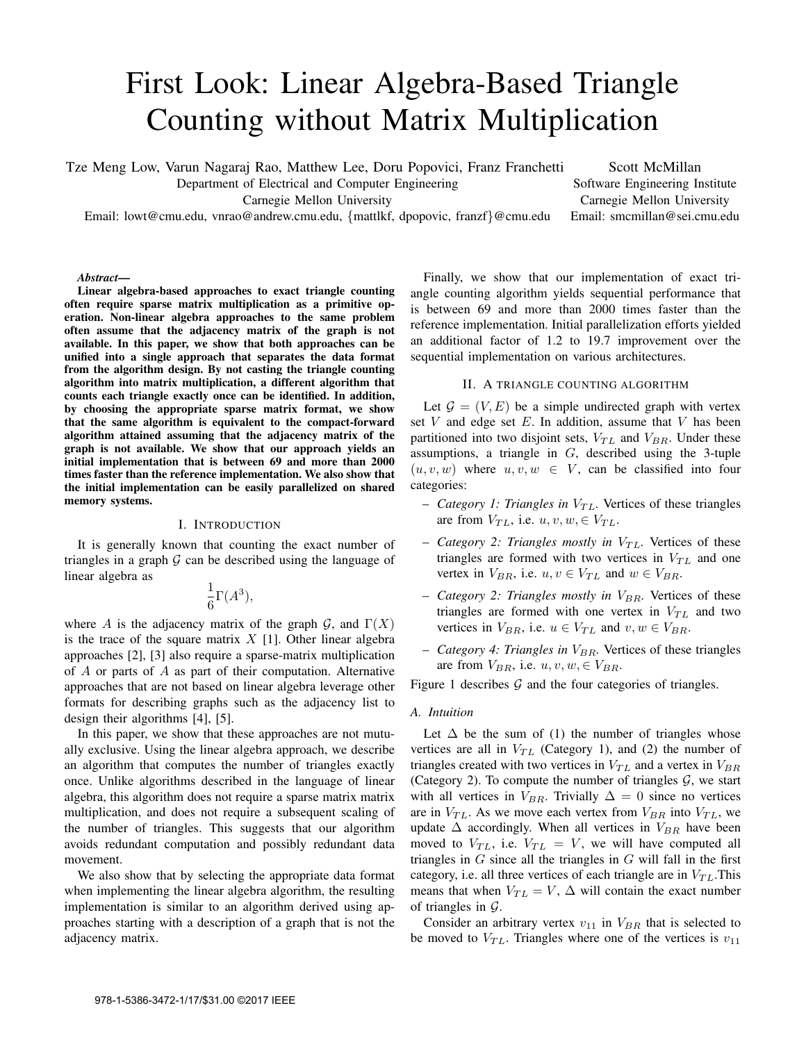# First Look: Linear Algebra-Based Triangle Counting without Matrix Multiplication

Tze Meng Low, Varun Nagaraj Rao, Matthew Lee, Doru Popovici, Franz Franchetti

Department of Electrical and Computer Engineering

Carnegie Mellon University

Email: lowt@cmu.edu, vnrao@andrew.cmu.edu, {mattlkf, dpopovic, franzf}@cmu.edu

Scott McMillan Software Engineering Institute Carnegie Mellon University Email: smcmillan@sei.cmu.edu

#### *Abstract*—

Linear algebra-based approaches to exact triangle counting often require sparse matrix multiplication as a primitive operation. Non-linear algebra approaches to the same problem often assume that the adjacency matrix of the graph is not available. In this paper, we show that both approaches can be unified into a single approach that separates the data format from the algorithm design. By not casting the triangle counting algorithm into matrix multiplication, a different algorithm that counts each triangle exactly once can be identified. In addition, by choosing the appropriate sparse matrix format, we show that the same algorithm is equivalent to the compact-forward algorithm attained assuming that the adjacency matrix of the graph is not available. We show that our approach yields an initial implementation that is between 69 and more than 2000 times faster than the reference implementation. We also show that the initial implementation can be easily parallelized on shared memory systems.

# I. INTRODUCTION

It is generally known that counting the exact number of triangles in a graph  $G$  can be described using the language of linear algebra as

$$
\frac{1}{6}\Gamma(A^3),
$$

where A is the adjacency matrix of the graph G, and  $\Gamma(X)$ is the trace of the square matrix  $X$  [1]. Other linear algebra approaches [2], [3] also require a sparse-matrix multiplication of A or parts of A as part of their computation. Alternative approaches that are not based on linear algebra leverage other formats for describing graphs such as the adjacency list to design their algorithms [4], [5].

In this paper, we show that these approaches are not mutually exclusive. Using the linear algebra approach, we describe an algorithm that computes the number of triangles exactly once. Unlike algorithms described in the language of linear algebra, this algorithm does not require a sparse matrix matrix multiplication, and does not require a subsequent scaling of the number of triangles. This suggests that our algorithm avoids redundant computation and possibly redundant data movement.

We also show that by selecting the appropriate data format when implementing the linear algebra algorithm, the resulting implementation is similar to an algorithm derived using approaches starting with a description of a graph that is not the adjacency matrix.

Finally, we show that our implementation of exact triangle counting algorithm yields sequential performance that is between 69 and more than 2000 times faster than the reference implementation. Initial parallelization efforts yielded an additional factor of 1.2 to 19.7 improvement over the sequential implementation on various architectures.

# II. A TRIANGLE COUNTING ALGORITHM

Let  $\mathcal{G} = (V, E)$  be a simple undirected graph with vertex set  $V$  and edge set  $E$ . In addition, assume that  $V$  has been partitioned into two disjoint sets,  $V_{TL}$  and  $V_{BR}$ . Under these assumptions, a triangle in  $G$ , described using the 3-tuple  $(u, v, w)$  where  $u, v, w \in V$ , can be classified into four categories:

- $-$  *Category 1: Triangles in*  $V_{TL}$ *. Vertices of these triangles* are from  $V_{TL}$ , i.e.  $u, v, w \in V_{TL}$ .
- *Category 2: Triangles mostly in V<sub>TL</sub>.* Vertices of these triangles are formed with two vertices in  $V_{TL}$  and one vertex in  $V_{BR}$ , i.e.  $u, v \in V_{TL}$  and  $w \in V_{BR}$ .
- *Category 2: Triangles mostly in V<sub>BR</sub>.* Vertices of these triangles are formed with one vertex in  $V_{TL}$  and two vertices in  $V_{BR}$ , i.e.  $u \in V_{TL}$  and  $v, w \in V_{BR}$ .
- *Category 4: Triangles in V<sub>BR</sub>.* Vertices of these triangles are from  $V_{BR}$ , i.e.  $u, v, w \in V_{BR}$ .

Figure 1 describes  $G$  and the four categories of triangles.

#### *A. Intuition*

Let  $\Delta$  be the sum of (1) the number of triangles whose vertices are all in  $V_{TL}$  (Category 1), and (2) the number of triangles created with two vertices in  $V_{TL}$  and a vertex in  $V_{BR}$ (Category 2). To compute the number of triangles  $G$ , we start with all vertices in  $V_{BR}$ . Trivially  $\Delta = 0$  since no vertices are in  $V_{TL}$ . As we move each vertex from  $V_{BR}$  into  $V_{TL}$ , we update  $\Delta$  accordingly. When all vertices in  $V_{BR}$  have been moved to  $V_{TL}$ , i.e.  $V_{TL} = V$ , we will have computed all triangles in  $G$  since all the triangles in  $G$  will fall in the first category, i.e. all three vertices of each triangle are in  $V_{TL}$ . This means that when  $V_{TL} = V$ ,  $\Delta$  will contain the exact number of triangles in  $\mathcal{G}$ .

Consider an arbitrary vertex  $v_{11}$  in  $V_{BR}$  that is selected to be moved to  $V_{TL}$ . Triangles where one of the vertices is  $v_{11}$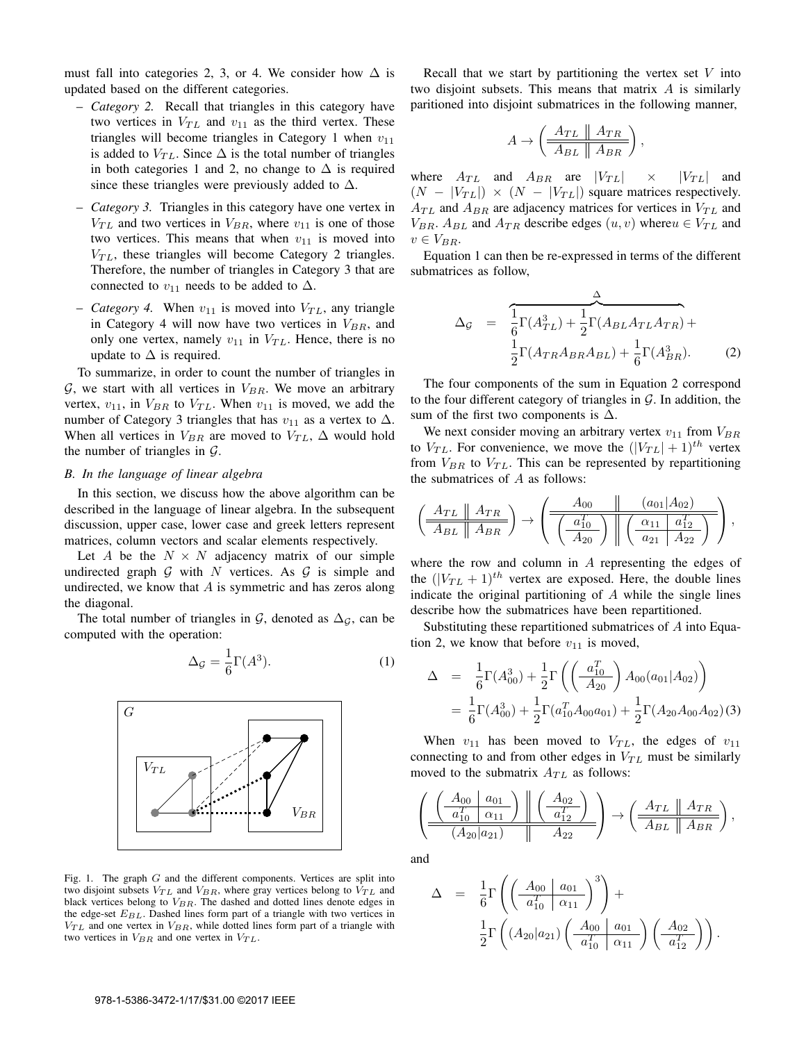must fall into categories 2, 3, or 4. We consider how  $\Delta$  is updated based on the different categories.

- *Category 2.* Recall that triangles in this category have two vertices in  $V_{TL}$  and  $v_{11}$  as the third vertex. These triangles will become triangles in Category 1 when  $v_{11}$ is added to  $V_{TL}$ . Since  $\Delta$  is the total number of triangles in both categories 1 and 2, no change to  $\Delta$  is required since these triangles were previously added to  $\Delta$ .
- *Category 3.* Triangles in this category have one vertex in  $V_{TL}$  and two vertices in  $V_{BR}$ , where  $v_{11}$  is one of those two vertices. This means that when  $v_{11}$  is moved into  $V_{TL}$ , these triangles will become Category 2 triangles. Therefore, the number of triangles in Category 3 that are connected to  $v_{11}$  needs to be added to  $\Delta$ .
- *Category 4.* When  $v_{11}$  is moved into  $V_{TL}$ , any triangle in Category 4 will now have two vertices in  $V_{BR}$ , and only one vertex, namely  $v_{11}$  in  $V_{TL}$ . Hence, there is no update to  $\Delta$  is required.

To summarize, in order to count the number of triangles in  $G$ , we start with all vertices in  $V_{BR}$ . We move an arbitrary vertex,  $v_{11}$ , in  $V_{BR}$  to  $V_{TL}$ . When  $v_{11}$  is moved, we add the number of Category 3 triangles that has  $v_{11}$  as a vertex to  $\Delta$ . When all vertices in  $V_{BR}$  are moved to  $V_{TL}$ ,  $\Delta$  would hold the number of triangles in  $G$ .

## *B. In the language of linear algebra*

In this section, we discuss how the above algorithm can be described in the language of linear algebra. In the subsequent discussion, upper case, lower case and greek letters represent matrices, column vectors and scalar elements respectively.

Let A be the  $N \times N$  adjacency matrix of our simple undirected graph  $G$  with N vertices. As  $G$  is simple and undirected, we know that  $A$  is symmetric and has zeros along the diagonal.

The total number of triangles in  $\mathcal{G}$ , denoted as  $\Delta_{\mathcal{G}}$ , can be computed with the operation:

$$
\Delta_{\mathcal{G}} = \frac{1}{6} \Gamma(A^3). \tag{1}
$$



Fig. 1. The graph  $G$  and the different components. Vertices are split into two disjoint subsets  $V_{TL}$  and  $V_{BR}$ , where gray vertices belong to  $V_{TL}$  and black vertices belong to  $V_{BR}$ . The dashed and dotted lines denote edges in the edge-set  $E_{BL}$ . Dashed lines form part of a triangle with two vertices in  $V_{TL}$  and one vertex in  $V_{BR}$ , while dotted lines form part of a triangle with two vertices in  $V_{BB}$  and one vertex in  $V_{TL}$ .

Recall that we start by partitioning the vertex set  $V$  into two disjoint subsets. This means that matrix  $A$  is similarly paritioned into disjoint submatrices in the following manner,

$$
A \rightarrow \left(\begin{array}{c|c} A_{TL} & A_{TR} \\ \hline A_{BL} & A_{BR} \end{array}\right),
$$

where  $A_{TL}$  and  $A_{BR}$  are  $|V_{TL}| \times |V_{TL}|$  and  $(N - |V_{TL}|) \times (N - |V_{TL}|)$  square matrices respectively.  $A_{TL}$  and  $A_{BR}$  are adjacency matrices for vertices in  $V_{TL}$  and  $V_{BR}$ .  $A_{BL}$  and  $A_{TR}$  describe edges  $(u, v)$  where  $u \in V_{TL}$  and  $v \in V_{BR}$ .

Equation 1 can then be re-expressed in terms of the different submatrices as follow,

$$
\Delta_{\mathcal{G}} = \frac{\Delta}{6} \Gamma(A_{TL}^3) + \frac{1}{2} \Gamma(A_{BL} A_{TL} A_{TR}) + \frac{1}{2} \Gamma(A_{TR} A_{BR} A_{BL}) + \frac{1}{6} \Gamma(A_{BR}^3).
$$
 (2)

The four components of the sum in Equation 2 correspond to the four different category of triangles in  $G$ . In addition, the sum of the first two components is  $\Delta$ .

We next consider moving an arbitrary vertex  $v_{11}$  from  $V_{BR}$ to  $V_{TL}$ . For convenience, we move the  $(|V_{TL}| + 1)^{th}$  vertex from  $V_{BR}$  to  $V_{TL}$ . This can be represented by repartitioning the submatrices of  $A$  as follows:

$$
\left(\frac{A_{TL} \parallel A_{TR}}{\overline{A_{BL} \parallel A_{BR}}}\right) \rightarrow \left(\frac{A_{00} \parallel (a_{01}|A_{02})}{\left(\frac{a_{10}^T}{A_{20}}\right) \parallel \left(\frac{\alpha_{11} \parallel a_{12}^T}{a_{21} \parallel A_{22}}\right)}\right),
$$

where the row and column in  $A$  representing the edges of the  $(|V_{TL} + 1|^{th}$  vertex are exposed. Here, the double lines indicate the original partitioning of  $A$  while the single lines describe how the submatrices have been repartitioned.

Substituting these repartitioned submatrices of A into Equation 2, we know that before  $v_{11}$  is moved,

$$
\Delta = \frac{1}{6} \Gamma(A_{00}^3) + \frac{1}{2} \Gamma\left(\left(\frac{a_{10}^T}{A_{20}}\right) A_{00}(a_{01}|A_{02})\right)
$$
  
=  $\frac{1}{6} \Gamma(A_{00}^3) + \frac{1}{2} \Gamma(a_{10}^T A_{00} a_{01}) + \frac{1}{2} \Gamma(A_{20} A_{00} A_{02})$ (3)

When  $v_{11}$  has been moved to  $V_{TL}$ , the edges of  $v_{11}$ connecting to and from other edges in  $V_{TL}$  must be similarly moved to the submatrix  $A_{TL}$  as follows:

$$
\left(\frac{\left(\frac{A_{00}}{a_{10}^T}\left(\frac{a_{01}}{a_{11}}\right)\right)\left(\frac{A_{02}}{a_{12}^T}\right)}{\left(A_{20}|a_{21}\right)\left(\frac{A_{22}}{a_{22}^T}\right)}\right)\to\left(\frac{A_{TL}\left\|\left(A_{TR}\right\|}{A_{BL}\left\|\left(A_{BR}\right\|}\right)},\right.\right)
$$

and

$$
\Delta = \frac{1}{6} \Gamma \left( \left( \frac{A_{00}}{a_{10}^T} \left| \frac{a_{01}}{a_{11}} \right|^3 \right) + \frac{1}{2} \Gamma \left( (A_{20} | a_{21}) \left( \frac{A_{00}}{a_{10}^T} \left| \frac{a_{01}}{a_{11}} \right| \right) \left( \frac{A_{02}}{a_{12}^T} \right) \right).
$$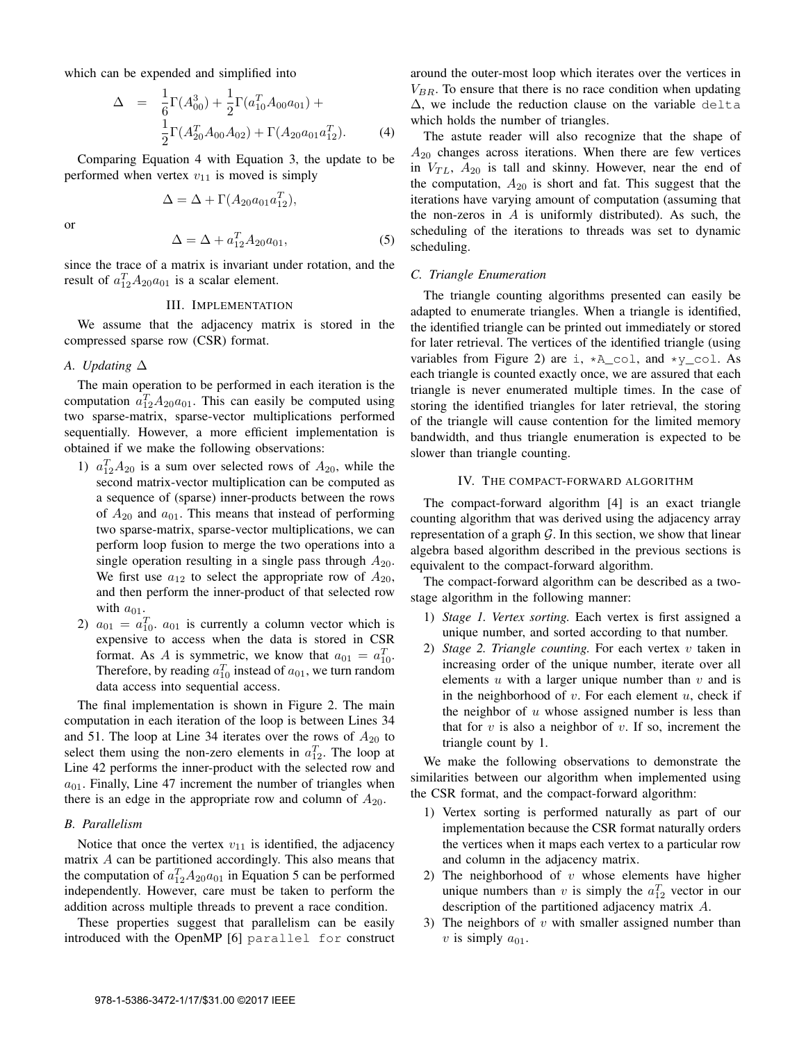which can be expended and simplified into

$$
\Delta = \frac{1}{6} \Gamma(A_{00}^3) + \frac{1}{2} \Gamma(a_{10}^T A_{00} a_{01}) +
$$
  
\n
$$
\frac{1}{2} \Gamma(A_{20}^T A_{00} A_{02}) + \Gamma(A_{20} a_{01} a_{12}^T).
$$
 (4)

Comparing Equation 4 with Equation 3, the update to be performed when vertex  $v_{11}$  is moved is simply

$$
\Delta = \Delta + \Gamma(A_{20}a_{01}a_{12}^T),
$$

or

$$
\Delta = \Delta + a_{12}^T A_{20} a_{01},\tag{5}
$$

since the trace of a matrix is invariant under rotation, and the result of  $a_{12}^T A_{20} a_{01}$  is a scalar element.

# III. IMPLEMENTATION

We assume that the adjacency matrix is stored in the compressed sparse row (CSR) format.

## *A. Updating* ∆

The main operation to be performed in each iteration is the computation  $a_{12}^T A_{20} a_{01}$ . This can easily be computed using two sparse-matrix, sparse-vector multiplications performed sequentially. However, a more efficient implementation is obtained if we make the following observations:

- 1)  $a_{12}^T A_{20}$  is a sum over selected rows of  $A_{20}$ , while the second matrix-vector multiplication can be computed as a sequence of (sparse) inner-products between the rows of  $A_{20}$  and  $a_{01}$ . This means that instead of performing two sparse-matrix, sparse-vector multiplications, we can perform loop fusion to merge the two operations into a single operation resulting in a single pass through  $A_{20}$ . We first use  $a_{12}$  to select the appropriate row of  $A_{20}$ , and then perform the inner-product of that selected row with  $a_{01}$ .
- 2)  $a_{01} = a_{10}^T$ ,  $a_{01}$  is currently a column vector which is expensive to access when the data is stored in CSR format. As A is symmetric, we know that  $a_{01} = a_{10}^T$ . Therefore, by reading  $a_{10}^T$  instead of  $a_{01}$ , we turn random data access into sequential access.

The final implementation is shown in Figure 2. The main computation in each iteration of the loop is between Lines 34 and 51. The loop at Line 34 iterates over the rows of  $A_{20}$  to select them using the non-zero elements in  $a_{12}^T$ . The loop at Line 42 performs the inner-product with the selected row and  $a_{01}$ . Finally, Line 47 increment the number of triangles when there is an edge in the appropriate row and column of  $A_{20}$ .

#### *B. Parallelism*

Notice that once the vertex  $v_{11}$  is identified, the adjacency matrix  $A$  can be partitioned accordingly. This also means that the computation of  $a_{12}^T A_{20} a_{01}$  in Equation 5 can be performed independently. However, care must be taken to perform the addition across multiple threads to prevent a race condition.

These properties suggest that parallelism can be easily introduced with the OpenMP [6] parallel for construct around the outer-most loop which iterates over the vertices in  $V_{BB}$ . To ensure that there is no race condition when updating  $\Delta$ , we include the reduction clause on the variable delta which holds the number of triangles.

The astute reader will also recognize that the shape of  $A_{20}$  changes across iterations. When there are few vertices in  $V_{TL}$ ,  $A_{20}$  is tall and skinny. However, near the end of the computation,  $A_{20}$  is short and fat. This suggest that the iterations have varying amount of computation (assuming that the non-zeros in  $A$  is uniformly distributed). As such, the scheduling of the iterations to threads was set to dynamic scheduling.

# *C. Triangle Enumeration*

The triangle counting algorithms presented can easily be adapted to enumerate triangles. When a triangle is identified, the identified triangle can be printed out immediately or stored for later retrieval. The vertices of the identified triangle (using variables from Figure 2) are i,  $*A\_col$ , and  $*y\_col$ . As each triangle is counted exactly once, we are assured that each triangle is never enumerated multiple times. In the case of storing the identified triangles for later retrieval, the storing of the triangle will cause contention for the limited memory bandwidth, and thus triangle enumeration is expected to be slower than triangle counting.

## IV. THE COMPACT-FORWARD ALGORITHM

The compact-forward algorithm [4] is an exact triangle counting algorithm that was derived using the adjacency array representation of a graph  $G$ . In this section, we show that linear algebra based algorithm described in the previous sections is equivalent to the compact-forward algorithm.

The compact-forward algorithm can be described as a twostage algorithm in the following manner:

- 1) *Stage 1. Vertex sorting.* Each vertex is first assigned a unique number, and sorted according to that number.
- 2) *Stage 2. Triangle counting.* For each vertex v taken in increasing order of the unique number, iterate over all elements  $u$  with a larger unique number than  $v$  and is in the neighborhood of  $v$ . For each element  $u$ , check if the neighbor of  $u$  whose assigned number is less than that for  $v$  is also a neighbor of  $v$ . If so, increment the triangle count by 1.

We make the following observations to demonstrate the similarities between our algorithm when implemented using the CSR format, and the compact-forward algorithm:

- 1) Vertex sorting is performed naturally as part of our implementation because the CSR format naturally orders the vertices when it maps each vertex to a particular row and column in the adjacency matrix.
- 2) The neighborhood of  $v$  whose elements have higher unique numbers than v is simply the  $a_{12}^T$  vector in our description of the partitioned adjacency matrix A.
- 3) The neighbors of  $v$  with smaller assigned number than v is simply  $a_{01}$ .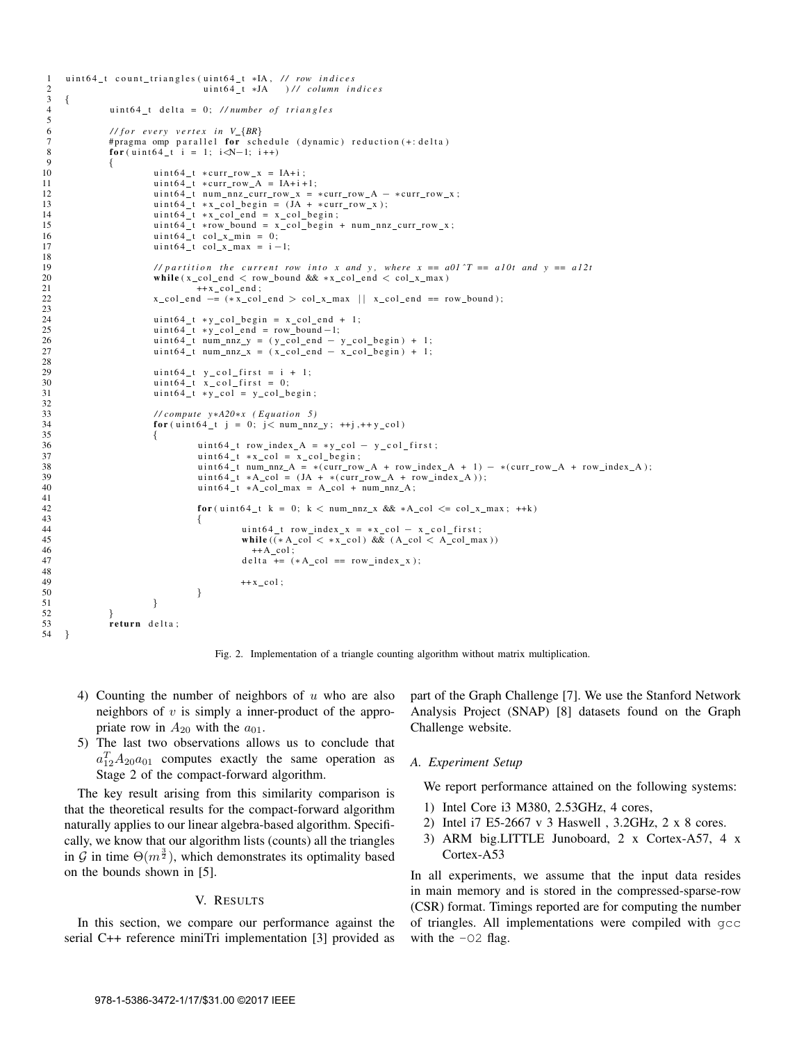```
uint64_t count_triangles(uint64_t *IA, // row indices<br>uint64_t *JA )// column indices
\{uint64_t delta = 0; //number of triangles
         //for every vertex in V_{-}{BR}
         #pragma omp parallel for schedule (dynamic) reduction (+: delta)
         for (iint64_t i = 1; i< N-1; i++)\{uint64_t *curr_row_x = IA + i ;uint64_t *curr_row_A = IA+i+1;uint64_t num_nnz_curr_row_x = *curr_row_A - *curr_row_x;
                  uint64_t * x_col_begin = (JA + *curr_low_x);uint64_t * x_col_cend = x_col_begin;uint64_t * row_bound = x_col_begin + num_nnz_curr_row_x;uint64_t col_xmin = 0;uint64_t col_x_max = i - 1;// partition the current row into x and y, where x == a01^{\circ}T == a10t and y == a12twhile (x_{col\_end} < row_bound && *x_col_end \lt col_{x_{max}}+x\_{col\_end};
                  x_{col\_end} = (*x_col_end > col_x_max || x_col_end == row_bound);
                  uint64_t * y_col_begin = x_col_cnd + 1;uint64_t * y_col_cnd = row_bound - 1;uint64_t num_nnz_y = (y_col_cnd - y_col_begin) + 1;\text{uint64}<sub>1</sub> \text{num\_nnz_x} = (x\_\text{col\_end} - x\_\text{col\_begin}) + 1;uint64_t y_col_first = i + 1;
                  uint64_t x_col_f first = 0;
                  uint64_t * y_col = y_col_begin;//compute y*A20*x (Equation 5)
                  for (uint 64_t i = 0; j < num_n n z_y; ++j, ++y_c 01)\{uint64_t row_index_A = *y_col - y_col_first;<br>uint64_t *x_col = x_col_begin;
                           \text{uint64}_t num_nnz_A = *(\text{curr\_row\_A + row\_index\_A + 1}) - *(\text{curr\_row\_A + row\_index\_A});uint64_t * A_col = (JA + *(curr_crow_A + row_index_A));uint64_t * A_col_max = A_col + num_nnz_A;for (uint 64_t k = 0; k < num_n n z_x k & *A_c 0 l \leq col_x max; ++k)\{uint64_t row_index_x = *x_col - x_col_first;while ((*A\_col < *x\_col) & (A\_col < A\_col\_max))+A\_col;delta + = (*A_col == row_index_x);++x_col;
                           \}\}return delta:
\}
```
Fig. 2. Implementation of a triangle counting algorithm without matrix multiplication.

4) Counting the number of neighbors of  $u$  who are also neighbors of  $v$  is simply a inner-product of the appropriate row in  $A_{20}$  with the  $a_{01}$ .

 $\mathbf{1}$  $\mathcal{D}$  $\overline{3}$ 

 $\overline{4}$ 

 $\overline{\phantom{a}}$  $\sqrt{6}$ 

 $\overline{7}$ 

8

9

10

11 12

13  $14$ 

15 16

17

18

19 20

 $21$ 

22

23 24

25  $26$ 

27 28 29

30

31

32 33

34

35

36 37 38

39

40

 $41$  $42$ 

 $43$ 

44

 $45$ 

46

47

 $\overline{48}$ 49

50

51

52  $53$ 

54

5) The last two observations allows us to conclude that  $a_{12}^T A_{20} a_{01}$  computes exactly the same operation as Stage 2 of the compact-forward algorithm.

The key result arising from this similarity comparison is that the theoretical results for the compact-forward algorithm naturally applies to our linear algebra-based algorithm. Specifically, we know that our algorithm lists (counts) all the triangles in G in time  $\Theta(m^{\frac{3}{2}})$ , which demonstrates its optimality based on the bounds shown in [5].

# V. RESULTS

In this section, we compare our performance against the serial C++ reference miniTri implementation [3] provided as part of the Graph Challenge [7]. We use the Stanford Network Analysis Project (SNAP) [8] datasets found on the Graph Challenge website.

A. Experiment Setup

We report performance attained on the following systems:

- 1) Intel Core i3 M380, 2.53GHz, 4 cores,
- 2) Intel i7 E5-2667 v 3 Haswell, 3.2GHz, 2 x 8 cores.
- 3) ARM big.LITTLE Junoboard, 2 x Cortex-A57, 4 x Cortex-A53

In all experiments, we assume that the input data resides in main memory and is stored in the compressed-sparse-row (CSR) format. Timings reported are for computing the number of triangles. All implementations were compiled with gcc with the  $-02$  flag.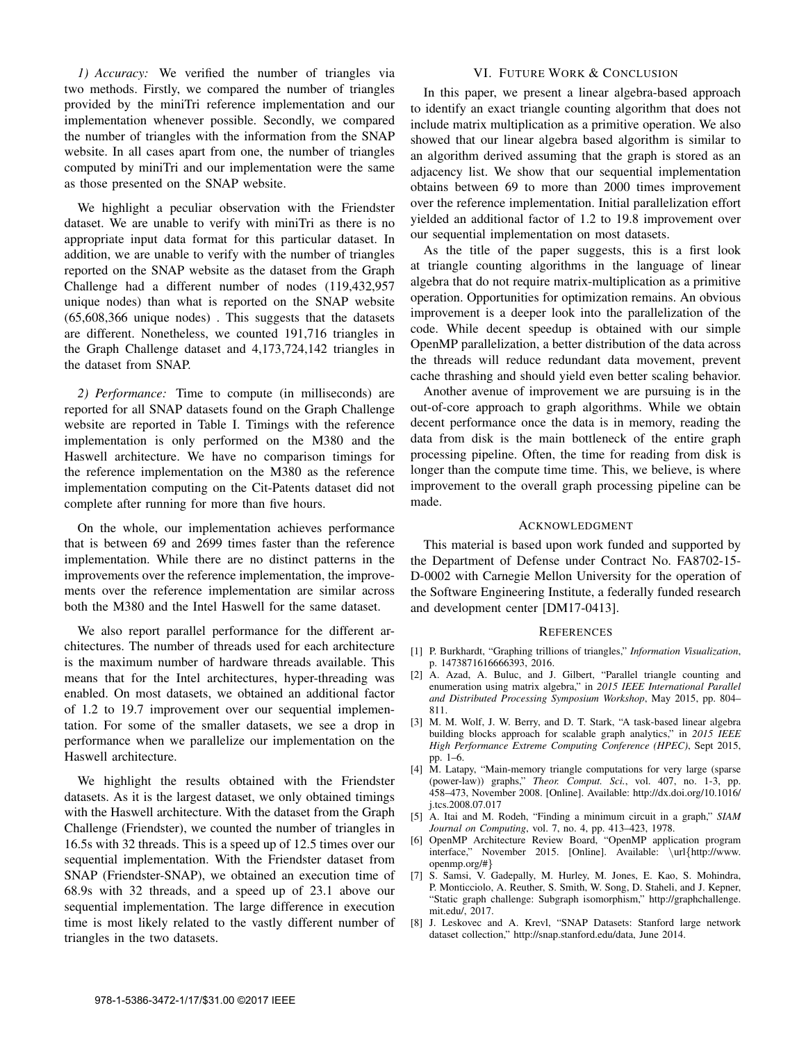*1) Accuracy:* We verified the number of triangles via two methods. Firstly, we compared the number of triangles provided by the miniTri reference implementation and our implementation whenever possible. Secondly, we compared the number of triangles with the information from the SNAP website. In all cases apart from one, the number of triangles computed by miniTri and our implementation were the same as those presented on the SNAP website.

We highlight a peculiar observation with the Friendster dataset. We are unable to verify with miniTri as there is no appropriate input data format for this particular dataset. In addition, we are unable to verify with the number of triangles reported on the SNAP website as the dataset from the Graph Challenge had a different number of nodes (119,432,957 unique nodes) than what is reported on the SNAP website (65,608,366 unique nodes) . This suggests that the datasets are different. Nonetheless, we counted 191,716 triangles in the Graph Challenge dataset and 4,173,724,142 triangles in the dataset from SNAP.

*2) Performance:* Time to compute (in milliseconds) are reported for all SNAP datasets found on the Graph Challenge website are reported in Table I. Timings with the reference implementation is only performed on the M380 and the Haswell architecture. We have no comparison timings for the reference implementation on the M380 as the reference implementation computing on the Cit-Patents dataset did not complete after running for more than five hours.

On the whole, our implementation achieves performance that is between 69 and 2699 times faster than the reference implementation. While there are no distinct patterns in the improvements over the reference implementation, the improvements over the reference implementation are similar across both the M380 and the Intel Haswell for the same dataset.

We also report parallel performance for the different architectures. The number of threads used for each architecture is the maximum number of hardware threads available. This means that for the Intel architectures, hyper-threading was enabled. On most datasets, we obtained an additional factor of 1.2 to 19.7 improvement over our sequential implementation. For some of the smaller datasets, we see a drop in performance when we parallelize our implementation on the Haswell architecture.

We highlight the results obtained with the Friendster datasets. As it is the largest dataset, we only obtained timings with the Haswell architecture. With the dataset from the Graph Challenge (Friendster), we counted the number of triangles in 16.5s with 32 threads. This is a speed up of 12.5 times over our sequential implementation. With the Friendster dataset from SNAP (Friendster-SNAP), we obtained an execution time of 68.9s with 32 threads, and a speed up of 23.1 above our sequential implementation. The large difference in execution time is most likely related to the vastly different number of triangles in the two datasets.

# VI. FUTURE WORK & CONCLUSION

In this paper, we present a linear algebra-based approach to identify an exact triangle counting algorithm that does not include matrix multiplication as a primitive operation. We also showed that our linear algebra based algorithm is similar to an algorithm derived assuming that the graph is stored as an adjacency list. We show that our sequential implementation obtains between 69 to more than 2000 times improvement over the reference implementation. Initial parallelization effort yielded an additional factor of 1.2 to 19.8 improvement over our sequential implementation on most datasets.

As the title of the paper suggests, this is a first look at triangle counting algorithms in the language of linear algebra that do not require matrix-multiplication as a primitive operation. Opportunities for optimization remains. An obvious improvement is a deeper look into the parallelization of the code. While decent speedup is obtained with our simple OpenMP parallelization, a better distribution of the data across the threads will reduce redundant data movement, prevent cache thrashing and should yield even better scaling behavior.

Another avenue of improvement we are pursuing is in the out-of-core approach to graph algorithms. While we obtain decent performance once the data is in memory, reading the data from disk is the main bottleneck of the entire graph processing pipeline. Often, the time for reading from disk is longer than the compute time time. This, we believe, is where improvement to the overall graph processing pipeline can be made.

### ACKNOWLEDGMENT

This material is based upon work funded and supported by the Department of Defense under Contract No. FA8702-15- D-0002 with Carnegie Mellon University for the operation of the Software Engineering Institute, a federally funded research and development center [DM17-0413].

#### **REFERENCES**

- [1] P. Burkhardt, "Graphing trillions of triangles," *Information Visualization*, p. 1473871616666393, 2016.
- [2] A. Azad, A. Buluc, and J. Gilbert, "Parallel triangle counting and enumeration using matrix algebra," in *2015 IEEE International Parallel and Distributed Processing Symposium Workshop*, May 2015, pp. 804– 811.
- [3] M. M. Wolf, J. W. Berry, and D. T. Stark, "A task-based linear algebra building blocks approach for scalable graph analytics," in *2015 IEEE High Performance Extreme Computing Conference (HPEC)*, Sept 2015, pp. 1–6.
- [4] M. Latapy, "Main-memory triangle computations for very large (sparse (power-law)) graphs," *Theor. Comput. Sci.*, vol. 407, no. 1-3, pp. 458–473, November 2008. [Online]. Available: http://dx.doi.org/10.1016/ j.tcs.2008.07.017
- [5] A. Itai and M. Rodeh, "Finding a minimum circuit in a graph," *SIAM Journal on Computing*, vol. 7, no. 4, pp. 413–423, 1978.
- [6] OpenMP Architecture Review Board, "OpenMP application program interface," November 2015. [Online]. Available: \url{http://www. openmp.org/#}
- [7] S. Samsi, V. Gadepally, M. Hurley, M. Jones, E. Kao, S. Mohindra, P. Monticciolo, A. Reuther, S. Smith, W. Song, D. Staheli, and J. Kepner, "Static graph challenge: Subgraph isomorphism," http://graphchallenge. mit.edu/, 2017.
- [8] J. Leskovec and A. Krevl, "SNAP Datasets: Stanford large network dataset collection," http://snap.stanford.edu/data, June 2014.